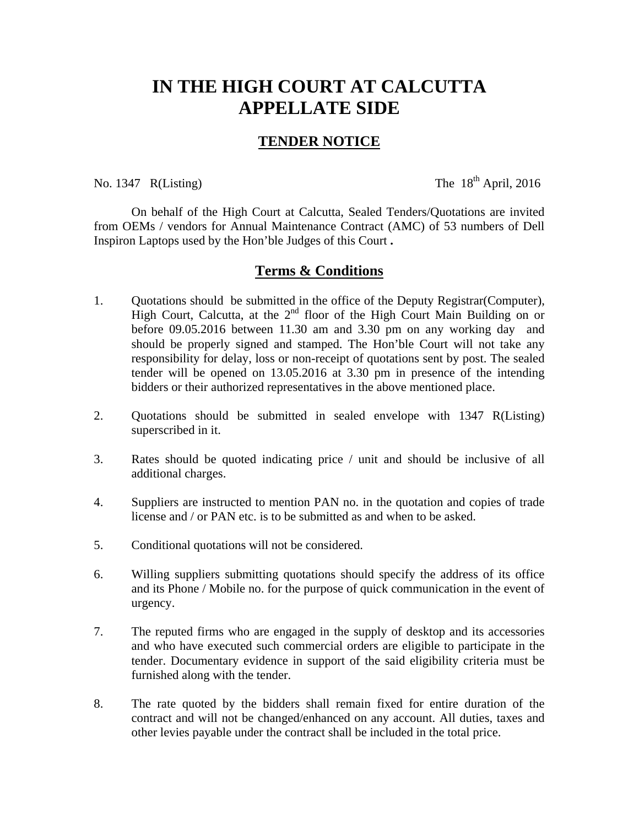## **IN THE HIGH COURT AT CALCUTTA APPELLATE SIDE**

## **TENDER NOTICE**

No. 1347 R(Listing) The  $18^{th}$  April, 2016

 On behalf of the High Court at Calcutta, Sealed Tenders/Quotations are invited from OEMs / vendors for Annual Maintenance Contract (AMC) of 53 numbers of Dell Inspiron Laptops used by the Hon'ble Judges of this Court **.** 

## **Terms & Conditions**

- 1. Quotations should be submitted in the office of the Deputy Registrar(Computer), High Court, Calcutta, at the 2<sup>nd</sup> floor of the High Court Main Building on or before 09.05.2016 between 11.30 am and 3.30 pm on any working day and should be properly signed and stamped. The Hon'ble Court will not take any responsibility for delay, loss or non-receipt of quotations sent by post. The sealed tender will be opened on 13.05.2016 at 3.30 pm in presence of the intending bidders or their authorized representatives in the above mentioned place.
- 2. Quotations should be submitted in sealed envelope with 1347 R(Listing) superscribed in it.
- 3. Rates should be quoted indicating price / unit and should be inclusive of all additional charges.
- 4. Suppliers are instructed to mention PAN no. in the quotation and copies of trade license and / or PAN etc. is to be submitted as and when to be asked.
- 5. Conditional quotations will not be considered.
- 6. Willing suppliers submitting quotations should specify the address of its office and its Phone / Mobile no. for the purpose of quick communication in the event of urgency.
- 7. The reputed firms who are engaged in the supply of desktop and its accessories and who have executed such commercial orders are eligible to participate in the tender. Documentary evidence in support of the said eligibility criteria must be furnished along with the tender.
- 8. The rate quoted by the bidders shall remain fixed for entire duration of the contract and will not be changed/enhanced on any account. All duties, taxes and other levies payable under the contract shall be included in the total price.